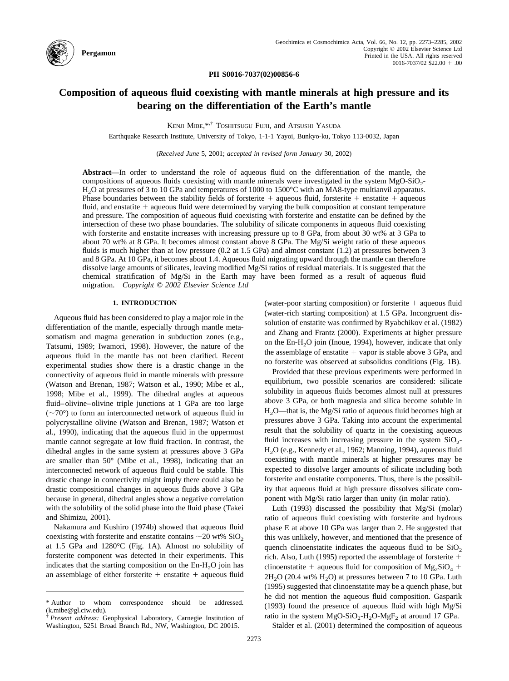

**PII S0016-7037(02)00856-6**

# **Composition of aqueous fluid coexisting with mantle minerals at high pressure and its bearing on the differentiation of the Earth's mantle**

KENJI MIBE,\*,† TOSHITSUGU FUJII, and ATSUSHI YASUDA

Earthquake Research Institute, University of Tokyo, 1-1-1 Yayoi, Bunkyo-ku, Tokyo 113-0032, Japan

(*Received June* 5, 2001; *accepted in revised form January* 30, 2002)

**Abstract**—In order to understand the role of aqueous fluid on the differentiation of the mantle, the compositions of aqueous fluids coexisting with mantle minerals were investigated in the system  $MgO-SiO<sub>2</sub>$ -H2O at pressures of 3 to 10 GPa and temperatures of 1000 to 1500°C with an MA8-type multianvil apparatus. Phase boundaries between the stability fields of forsterite  $+$  aqueous fluid, forsterite  $+$  enstatite  $+$  aqueous fluid, and enstatite  $+$  aqueous fluid were determined by varying the bulk composition at constant temperature and pressure. The composition of aqueous fluid coexisting with forsterite and enstatite can be defined by the intersection of these two phase boundaries. The solubility of silicate components in aqueous fluid coexisting with forsterite and enstatite increases with increasing pressure up to 8 GPa, from about 30 wt% at 3 GPa to about 70 wt% at 8 GPa. It becomes almost constant above 8 GPa. The Mg/Si weight ratio of these aqueous fluids is much higher than at low pressure (0.2 at 1.5 GPa) and almost constant (1.2) at pressures between 3 and 8 GPa. At 10 GPa, it becomes about 1.4. Aqueous fluid migrating upward through the mantle can therefore dissolve large amounts of silicates, leaving modified Mg/Si ratios of residual materials. It is suggested that the chemical stratification of Mg/Si in the Earth may have been formed as a result of aqueous fluid migration. *Copyright © 2002 Elsevier Science Ltd*

### **1. INTRODUCTION**

Aqueous fluid has been considered to play a major role in the differentiation of the mantle, especially through mantle metasomatism and magma generation in subduction zones (e.g., [Tatsumi, 1989;](#page-12-0) [Iwamori, 1998\)](#page-11-0). However, the nature of the aqueous fluid in the mantle has not been clarified. Recent experimental studies show there is a drastic change in the connectivity of aqueous fluid in mantle minerals with pressure [\(Watson and Brenan, 1987; Watson et al., 1990; Mibe et al.,](#page-12-0) [1998; Mibe et al., 1999\)](#page-12-0). The dihedral angles at aqueous fluid–olivine–olivine triple junctions at 1 GPa are too large  $(\sim 70^{\circ})$  to form an interconnected network of aqueous fluid in polycrystalline olivine [\(Watson and Brenan, 1987; Watson et](#page-12-0) [al., 1990\),](#page-12-0) indicating that the aqueous fluid in the uppermost mantle cannot segregate at low fluid fraction. In contrast, the dihedral angles in the same system at pressures above 3 GPa are smaller than 50° [\(Mibe et al., 1998\)](#page-11-0), indicating that an interconnected network of aqueous fluid could be stable. This drastic change in connectivity might imply there could also be drastic compositional changes in aqueous fluids above 3 GPa because in general, dihedral angles show a negative correlation with the solubility of the solid phase into the fluid phase [\(Takei](#page-12-0) [and Shimizu, 2001\)](#page-12-0).

[Nakamura and Kushiro \(1974b\)](#page-11-0) showed that aqueous fluid coexisting with forsterite and enstatite contains  $\sim$  20 wt% SiO<sub>2</sub> at 1.5 GPa and 1280°C ([Fig. 1A](#page-1-0)). Almost no solubility of forsterite component was detected in their experiments. This indicates that the starting composition on the  $En-H<sub>2</sub>O$  join has an assemblage of either forsterite  $+$  enstatite  $+$  aqueous fluid

(water-poor starting composition) or forsterite  $+$  aqueous fluid (water-rich starting composition) at 1.5 GPa. Incongruent dissolution of enstatite was confirmed by [Ryabchikov et al. \(1982\)](#page-12-0) and [Zhang and Frantz \(2000\).](#page-12-0) Experiments at higher pressure on the En-H<sub>2</sub>O join [\(Inoue, 1994\),](#page-11-0) however, indicate that only the assemblage of enstatite  $+$  vapor is stable above 3 GPa, and no forsterite was observed at subsolidus conditions [\(Fig. 1B\)](#page-1-0).

Provided that these previous experiments were performed in equilibrium, two possible scenarios are considered: silicate solubility in aqueous fluids becomes almost null at pressures above 3 GPa, or both magnesia and silica become soluble in H2O—that is, the Mg/Si ratio of aqueous fluid becomes high at pressures above 3 GPa. Taking into account the experimental result that the solubility of quartz in the coexisting aqueous fluid increases with increasing pressure in the system  $SiO<sub>2</sub>$ -H2O (e.g., [Kennedy et al., 1962; Manning, 1994\),](#page-11-0) aqueous fluid coexisting with mantle minerals at higher pressures may be expected to dissolve larger amounts of silicate including both forsterite and enstatite components. Thus, there is the possibility that aqueous fluid at high pressure dissolves silicate component with Mg/Si ratio larger than unity (in molar ratio).

[Luth \(1993\)](#page-11-0) discussed the possibility that Mg/Si (molar) ratio of aqueous fluid coexisting with forsterite and hydrous phase E at above 10 GPa was larger than 2. He suggested that this was unlikely, however, and mentioned that the presence of quench clinoenstatite indicates the aqueous fluid to be  $SiO<sub>2</sub>$ rich. Also, [Luth \(1995\)](#page-11-0) reported the assemblage of forsterite  $+$ clinoenstatite + aqueous fluid for composition of  $Mg_2SiO_4$  +  $2H<sub>2</sub>O$  (20.4 wt%  $H<sub>2</sub>O$ ) at pressures between 7 to 10 GPa. [Luth](#page-11-0) [\(1995\)](#page-11-0) suggested that clinoenstatite may be a quench phase, but he did not mention the aqueous fluid composition. [Gasparik](#page-11-0) [\(1993\)](#page-11-0) found the presence of aqueous fluid with high Mg/Si ratio in the system  $MgO-SiO_2-H_2O-MgF_2$  at around 17 GPa.

[Stalder et al. \(2001\)](#page-12-0) determined the composition of aqueous

<sup>\*</sup> Author to whom correspondence should be addressed. (k.mibe@gl.ciw.edu).

<sup>†</sup> *Present address:* Geophysical Laboratory, Carnegie Institution of Washington, 5251 Broad Branch Rd., NW, Washington, DC 20015.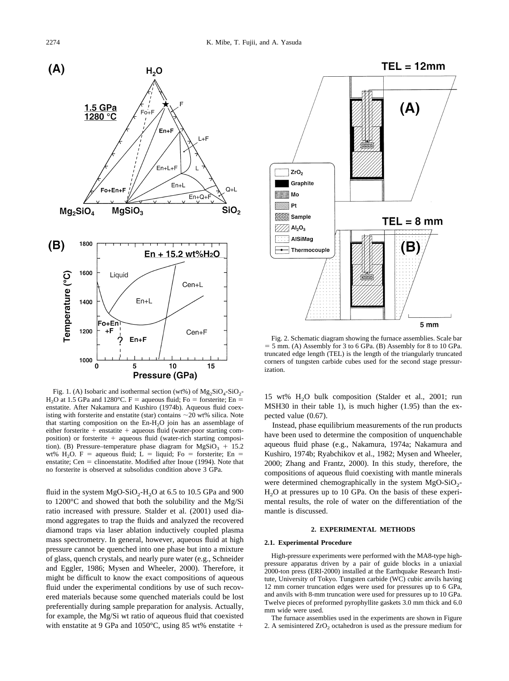<span id="page-1-0"></span>

Fig. 1. (A) Isobaric and isothermal section (wt%) of  $Mg_2SiO_4-SiO_2$ - $H<sub>2</sub>O$  at 1.5 GPa and 1280°C. F = aqueous fluid; Fo = forsterite; En = enstatite. After [Nakamura and Kushiro \(1974b\)](#page-11-0). Aqueous fluid coexisting with forsterite and enstatite (star) contains  $\sim$  20 wt% silica. Note that starting composition on the  $En-H<sub>2</sub>O$  join has an assemblage of either forsterite  $+$  enstatite  $+$  aqueous fluid (water-poor starting composition) or forsterite  $+$  aqueous fluid (water-rich starting composition). (B) Pressure–temperature phase diagram for  $MgSiO<sub>3</sub> + 15.2$ wt% H<sub>2</sub>O. F = aqueous fluid; L = liquid; Fo = forsterite; En = enstatite; Cen  $=$  clinoenstatite. Modified after [Inoue \(1994\).](#page-11-0) Note that no forsterite is observed at subsolidus condition above 3 GPa.

fluid in the system  $MgO-SiO<sub>2</sub>-H<sub>2</sub>O$  at 6.5 to 10.5 GPa and 900 to 1200°C and showed that both the solubility and the Mg/Si ratio increased with pressure. [Stalder et al. \(2001\)](#page-12-0) used diamond aggregates to trap the fluids and analyzed the recovered diamond traps via laser ablation inductively coupled plasma mass spectrometry. In general, however, aqueous fluid at high pressure cannot be quenched into one phase but into a mixture of glass, quench crystals, and nearly pure water (e.g., [Schneider](#page-12-0) [and Eggler, 1986; Mysen and Wheeler, 2000\)](#page-12-0). Therefore, it might be difficult to know the exact compositions of aqueous fluid under the experimental conditions by use of such recovered materials because some quenched materials could be lost preferentially during sample preparation for analysis. Actually, for example, the Mg/Si wt ratio of aqueous fluid that coexisted with enstatite at 9 GPa and 1050°C, using 85 wt% enstatite  $+$ 



Fig. 2. Schematic diagram showing the furnace assemblies. Scale bar  $=$  5 mm. (A) Assembly for 3 to 6 GPa. (B) Assembly for 8 to 10 GPa. truncated edge length (TEL) is the length of the triangularly truncated corners of tungsten carbide cubes used for the second stage pressurization.

15 wt% H2O bulk composition [\(Stalder et al., 2001;](#page-12-0) run MSH30 in their [table 1\)](#page-2-0), is much higher (1.95) than the expected value (0.67).

Instead, phase equilibrium measurements of the run products have been used to determine the composition of unquenchable aqueous fluid phase (e.g., [Nakamura, 1974a; Nakamura and](#page-11-0) [Kushiro, 1974b; Ryabchikov et al., 1982; Mysen and Wheeler,](#page-11-0) [2000; Zhang and Frantz, 2000\)](#page-11-0). In this study, therefore, the compositions of aqueous fluid coexisting with mantle minerals were determined chemographically in the system  $MgO-SiO<sub>2</sub>$ -H<sub>2</sub>O at pressures up to 10 GPa. On the basis of these experimental results, the role of water on the differentiation of the mantle is discussed.

# **2. EXPERIMENTAL METHODS**

### **2.1. Experimental Procedure**

High-pressure experiments were performed with the MA8-type highpressure apparatus driven by a pair of guide blocks in a uniaxial 2000-ton press (ERI-2000) installed at the Earthquake Research Institute, University of Tokyo. Tungsten carbide (WC) cubic anvils having 12 mm corner truncation edges were used for pressures up to 6 GPa, and anvils with 8-mm truncation were used for pressures up to 10 GPa. Twelve pieces of preformed pyrophyllite gaskets 3.0 mm thick and 6.0 mm wide were used.

The furnace assemblies used in the experiments are shown in Figure 2. A semisintered  $ZrO<sub>2</sub>$  octahedron is used as the pressure medium for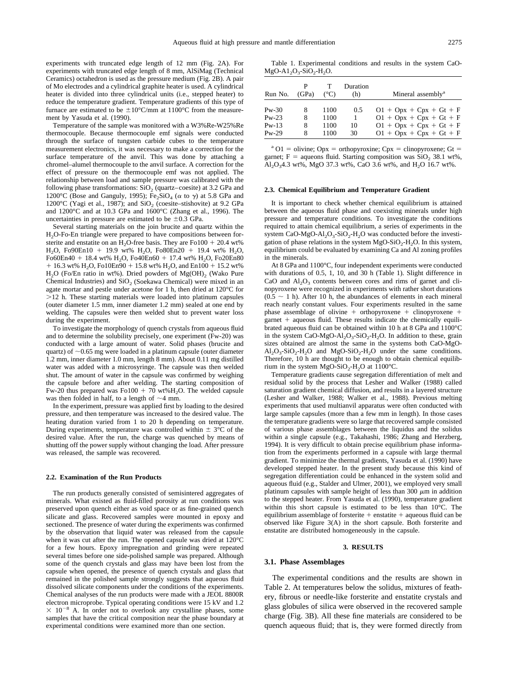<span id="page-2-0"></span>experiments with truncated edge length of 12 mm ([Fig. 2A](#page-1-0)). For experiments with truncated edge length of 8 mm, AlSiMag (Technical Ceramics) octahedron is used as the pressure medium [\(Fig. 2B](#page-1-0)). A pair of Mo electrodes and a cylindrical graphite heater is used. A cylindrical heater is divided into three cylindrical units (i.e., stepped heater) to reduce the temperature gradient. Temperature gradients of this type of furnace are estimated to be  $\pm 10^{\circ}$ C/mm at 1100°C from the measurement by [Yasuda et al. \(1990\)](#page-12-0).

Temperature of the sample was monitored with a W3%Re-W25%Re thermocouple. Because thermocouple emf signals were conducted through the surface of tungsten carbide cubes to the temperature measurement electronics, it was necessary to make a correction for the surface temperature of the anvil. This was done by attaching a chromel–alumel thermocouple to the anvil surface. A correction for the effect of pressure on the thermocouple emf was not applied. The relationship between load and sample pressure was calibrated with the following phase transformations:  $SiO<sub>2</sub>$  (quartz–coesite) at 3.2 GPa and 1200°C [\(Bose and Ganguly, 1995\);](#page-11-0)  $Fe<sub>2</sub>SiO<sub>4</sub>$  ( $\alpha$  to  $\gamma$ ) at 5.8 GPa and 1200°C [\(Yagi et al., 1987\)](#page-12-0); and  $SiO<sub>2</sub>$  (coesite–stishovite) at 9.2 GPa and 1200°C and at 10.3 GPa and 1600°C [\(Zhang et al., 1996\)](#page-12-0). The uncertainties in pressure are estimated to be  $\pm 0.3$  GPa.

Several starting materials on the join brucite and quartz within the  $H<sub>2</sub>O-Fo-En$  triangle were prepared to have compositions between forsterite and enstatite on an  $H_2O$ -free basis. They are Fo100 + 20.4 wt% H<sub>2</sub>O, Fo90En10 + 19.9 wt% H<sub>2</sub>O, Fo80En20 + 19.4 wt% H<sub>2</sub>O, Fo60En40 + 18.4 wt% H<sub>2</sub>O, Fo40En60 + 17.4 wt% H<sub>2</sub>O, Fo20En80  $+16.3$  wt% H<sub>2</sub>O, Fo10En90  $+15.8$  wt% H<sub>2</sub>O, and En100  $+15.2$  wt%  $H<sub>2</sub>O$  (Fo/En ratio in wt%). Dried powders of  $Mg(OH)<sub>2</sub>$  (Wako Pure Chemical Industries) and  $SiO<sub>2</sub>$  (Soekawa Chemical) were mixed in an agate mortar and pestle under acetone for 1 h, then dried at 120°C for  $>12$  h. These starting materials were loaded into platinum capsules (outer diameter 1.5 mm, inner diameter 1.2 mm) sealed at one end by welding. The capsules were then welded shut to prevent water loss during the experiment.

To investigate the morphology of quench crystals from aqueous fluid and to determine the solubility precisely, one experiment (Fw-20) was conducted with a large amount of water. Solid phases (brucite and quartz) of  $\sim$ 0.65 mg were loaded in a platinum capsule (outer diameter 1.2 mm, inner diameter 1.0 mm, length 8 mm). About 0.11 mg distilled water was added with a microsyringe. The capsule was then welded shut. The amount of water in the capsule was confirmed by weighing the capsule before and after welding. The starting composition of Fw-20 thus prepared was Fo100  $+$  70 wt%H<sub>2</sub>O. The welded capsule was then folded in half, to a length of  $\sim$ 4 mm.

In the experiment, pressure was applied first by loading to the desired pressure, and then temperature was increased to the desired value. The heating duration varied from 1 to 20 h depending on temperature. During experiments, temperature was controlled within  $\pm$  3°C of the desired value. After the run, the charge was quenched by means of shutting off the power supply without changing the load. After pressure was released, the sample was recovered.

#### **2.2. Examination of the Run Products**

The run products generally consisted of semisintered aggregates of minerals. What existed as fluid-filled porosity at run conditions was preserved upon quench either as void space or as fine-grained quench silicate and glass. Recovered samples were mounted in epoxy and sectioned. The presence of water during the experiments was confirmed by the observation that liquid water was released from the capsule when it was cut after the run. The opened capsule was dried at 120°C for a few hours. Epoxy impregnation and grinding were repeated several times before one side-polished sample was prepared. Although some of the quench crystals and glass may have been lost from the capsule when opened, the presence of quench crystals and glass that remained in the polished sample strongly suggests that aqueous fluid dissolved silicate components under the conditions of the experiments. Chemical analyses of the run products were made with a JEOL 8800R electron microprobe. Typical operating conditions were 15 kV and 1.2  $\times$  10<sup>-8</sup> A. In order not to overlook any crystalline phases, some samples that have the critical composition near the phase boundary at experimental conditions were examined more than one section.

Table 1. Experimental conditions and results in the system CaO- $MgO-A1_2O_3-SiO_2-H_2O.$ 

| Run No.      | P<br>(GPa) | $(^{\circ}C)$ | Duration<br>(h) | Mineral assembly <sup>a</sup> |
|--------------|------------|---------------|-----------------|-------------------------------|
| $P_{W} - 30$ | 8          | 1100          | 0.5             | $01 + Opx + Cpx + Gt + F$     |
| $Pw-23$      | 8          | 1100          | 1               | $01 + Opx + Cpx + Gt + F$     |
| $Pw-13$      | 8          | 1100          | 10              | $01 + Opx + Cpx + Gt + F$     |
| $Pw-29$      | 8          | 1100          | 30              | $01 + Opx + Cpx + Gt + F$     |

<sup>a</sup> O1 = olivine; Opx = orthopyroxine; Cpx = clinopyroxene; Gt = garnet; F = aqueons fluid. Starting composition was  $SiO<sub>2</sub> 38.1 wt\%$ , Al<sub>2</sub>O<sub>3</sub>4.3 wt%, MgO 37.3 wt%, CaO 3.6 wt%, and H<sub>2</sub>O 16.7 wt%.

#### **2.3. Chemical Equilibrium and Temperature Gradient**

It is important to check whether chemical equilibrium is attained between the aqueous fluid phase and coexisting minerals under high pressure and temperature conditions. To investigate the conditions required to attain chemical equilibrium, a series of experiments in the system CaO-MgO-Al<sub>2</sub>O<sub>3</sub>-SiO<sub>2</sub>-H<sub>2</sub>O was conducted before the investigation of phase relations in the system  $MgO-SiO<sub>2</sub>-H<sub>2</sub>O$ . In this system, equilibrium could be evaluated by examining Ca and Al zoning profiles in the minerals.

At 8 GPa and 1100°C, four independent experiments were conducted with durations of 0.5, 1, 10, and 30 h (Table 1). Slight difference in CaO and  $Al_2O_3$  contents between cores and rims of garnet and clinopyroxene were recognized in experiments with rather short durations  $(0.5 \sim 1$  h). After 10 h, the abundances of elements in each mineral reach nearly constant values. Four experiments resulted in the same phase assemblage of olivine  $+$  orthopyroxene  $+$  clinopyroxene  $+$  $\gamma$  garnet  $+$  aqueous fluid. These results indicate the chemically equilibrated aqueous fluid can be obtained within 10 h at 8 GPa and 1100°C in the system CaO-MgO-Al<sub>2</sub>O<sub>3</sub>-SiO<sub>2</sub>-H<sub>2</sub>O. In addition to these, grain sizes obtained are almost the same in the systems both CaO-MgO- $Al_2O_3-SiO_2-H_2O$  and  $MgO-SiO_2-H_2O$  under the same conditions. Therefore, 10 h are thought to be enough to obtain chemical equilibrium in the system  $MgO-SiO<sub>2</sub>-H<sub>2</sub>O$  at 1100°C.

Temperature gradients cause segregation differentiation of melt and residual solid by the process that [Lesher and Walker \(1988\)](#page-11-0) called saturation gradient chemical diffusion, and results in a layered structure [\(Lesher and Walker, 1988; Walker et al., 1988\).](#page-11-0) Previous melting experiments that used multianvil apparatus were often conducted with large sample capsules (more than a few mm in length). In those cases the temperature gradients were so large that recovered sample consisted of various phase assemblages between the liquidus and the solidus within a single capsule (e.g., [Takahashi, 1986; Zhang and Herzberg,](#page-12-0) [1994\).](#page-12-0) It is very difficult to obtain precise equilibrium phase information from the experiments performed in a capsule with large thermal gradient. To minimize the thermal gradients, [Yasuda et al. \(1990\)](#page-12-0) have developed stepped heater. In the present study because this kind of segregation differentiation could be enhanced in the system solid and aqueous fluid (e.g., [Stalder and Ulmer, 2001\)](#page-12-0), we employed very small platinum capsules with sample height of less than 300  $\mu$ m in addition to the stepped heater. From [Yasuda et al. \(1990\),](#page-12-0) temperature gradient within this short capsule is estimated to be less than 10°C. The equilibrium assemblage of forsterite  $+$  enstatite  $+$  aqueous fluid can be observed like [Figure 3\(A\)](#page-3-0) in the short capsule. Both forsterite and enstatite are distributed homogeneously in the capsule.

#### **3. RESULTS**

#### **3.1. Phase Assemblages**

The experimental conditions and the results are shown in [Table 2.](#page-4-0) At temperatures below the solidus, mixtures of feathery, fibrous or needle-like forsterite and enstatite crystals and glass globules of silica were observed in the recovered sample charge [\(Fig. 3B\)](#page-3-0). All these fine materials are considered to be quench aqueous fluid; that is, they were formed directly from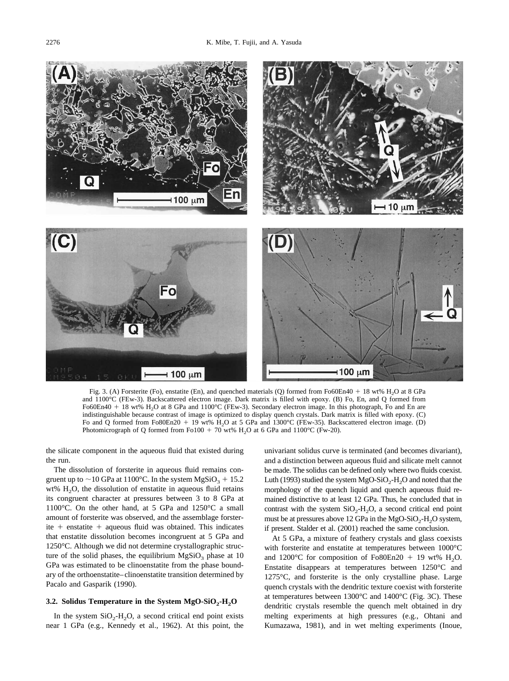<span id="page-3-0"></span>

Fig. 3. (A) Forsterite (Fo), enstatite (En), and quenched materials (Q) formed from Fo60En40 + 18 wt% H<sub>2</sub>O at 8 GPa and 1100°C (FEw-3). Backscattered electron image. Dark matrix is filled with epoxy. (B) Fo, En, and Q formed from Fo60En40 + 18 wt% H<sub>2</sub>O at 8 GPa and 1100°C (FEw-3). Secondary electron image. In this photograph, Fo and En are indistinguishable because contrast of image is optimized to display quench crystals. Dark matrix is filled with epoxy. (C) Fo and Q formed from Fo80En20 + 19 wt% H<sub>2</sub>O at 5 GPa and 1300°C (FEw-35). Backscattered electron image. (D) Photomicrograph of Q formed from Fo100  $+$  70 wt% H<sub>2</sub>O at 6 GPa and 1100°C (Fw-20).

the silicate component in the aqueous fluid that existed during the run.

The dissolution of forsterite in aqueous fluid remains congruent up to  $\sim$  10 GPa at 1100°C. In the system MgSiO<sub>3</sub> + 15.2 wt%  $H_2O$ , the dissolution of enstatite in aqueous fluid retains its congruent character at pressures between 3 to 8 GPa at 1100°C. On the other hand, at 5 GPa and 1250°C a small amount of forsterite was observed, and the assemblage forsterite  $+$  enstatite  $+$  aqueous fluid was obtained. This indicates that enstatite dissolution becomes incongruent at 5 GPa and 1250°C. Although we did not determine crystallographic structure of the solid phases, the equilibrium  $MgSiO<sub>3</sub>$  phase at 10 GPa was estimated to be clinoenstatite from the phase boundary of the orthoenstatite–clinoenstatite transition determined by [Pacalo and Gasparik \(1990\).](#page-11-0)

### **3.2. Solidus Temperature in the System MgO-SiO<sub>2</sub>-H<sub>2</sub>O**

In the system  $SiO_2-H_2O$ , a second critical end point exists near 1 GPa (e.g., [Kennedy et al., 1962\).](#page-11-0) At this point, the univariant solidus curve is terminated (and becomes divariant), and a distinction between aqueous fluid and silicate melt cannot be made. The solidus can be defined only where two fluids coexist. [Luth \(1993\)](#page-11-0) studied the system  $MgO-SiO<sub>2</sub>-H<sub>2</sub>O$  and noted that the morphology of the quench liquid and quench aqueous fluid remained distinctive to at least 12 GPa. Thus, he concluded that in contrast with the system  $SiO<sub>2</sub>-H<sub>2</sub>O$ , a second critical end point must be at pressures above 12 GPa in the MgO-SiO<sub>2</sub>-H<sub>2</sub>O system, if present. [Stalder et al. \(2001\)](#page-12-0) reached the same conclusion.

At 5 GPa, a mixture of feathery crystals and glass coexists with forsterite and enstatite at temperatures between 1000°C and 1200 °C for composition of Fo80En20  $+$  19 wt% H<sub>2</sub>O. Enstatite disappears at temperatures between 1250°C and 1275°C, and forsterite is the only crystalline phase. Large quench crystals with the dendritic texture coexist with forsterite at temperatures between 1300°C and 1400°C (Fig. 3C). These dendritic crystals resemble the quench melt obtained in dry melting experiments at high pressures (e.g., [Ohtani and](#page-11-0) [Kumazawa, 1981\)](#page-11-0), and in wet melting experiments (Inoue,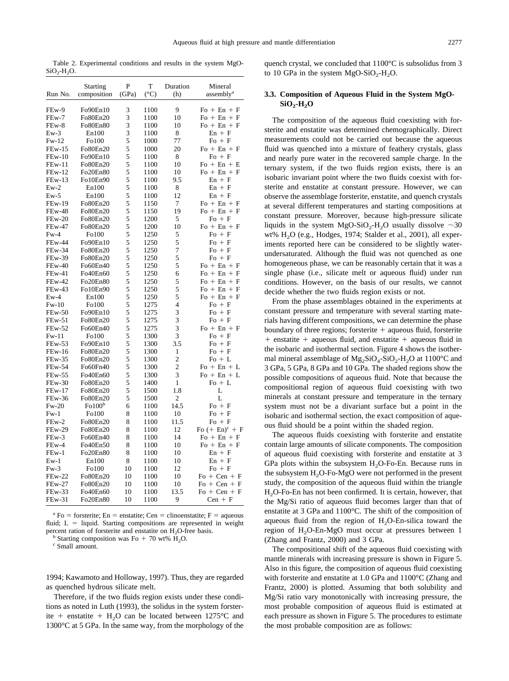<span id="page-4-0"></span>Table 2. Experimental conditions and results in the system MgO- $SiO<sub>2</sub>-H<sub>2</sub>O$ .

|               | Starting          | P      | T             | Duration       | Mineral                      |
|---------------|-------------------|--------|---------------|----------------|------------------------------|
| Run No.       | composition       | (GPa)  | $(^{\circ}C)$ | (h)            | assembly <sup>a</sup>        |
| FEw-9         | Fo90En10          |        | 1100          | 9              | $Fo + En + F$                |
| FEw-7         | Fo80En20          | 3<br>3 | 1100          | 10             | $Fo + En + F$                |
| FEw-8         | Fo80En80          | 3      | 1100          | 10             | $Fo + En + F$                |
|               |                   | 3      |               |                |                              |
| $Ew-3$        | En100             |        | 1100          | 8              | $En + F$                     |
| $Fw-12$       | Fo100             | 5      | 1000          | 77             | $Fo + F$                     |
| <b>FEw-15</b> | Fo80En20          | 5      | 1000          | 20             | $Fo + En + F$                |
| $FEw-10$      | Fo90En10          | 5      | 1100          | 8              | $Fo + F$                     |
| FEw-11        | Fo80En20          | 5      | 1100          | 10             | $Fo + En + E$                |
| <b>FEw-12</b> | Fo20En80          | 5      | 1100          | 10             | $Fo + En + F$                |
| $FEw-13$      | Fo10En90          | 5      | 1100          | 9.5            | $En + F$                     |
| $Ew-2$        | En100             | 5      | 1100          | 8              | $En + F$                     |
| $Ew-5$        | En100             | 5      | 1100          | 12             | $En + F$                     |
| <b>FEw-19</b> | Fo80En20          | 5      | 1150          | 7              | $Fo + En + F$                |
| <b>FEw-48</b> | Fo80En20          | 5      | 1150          | 19             | $Fo + En + F$                |
| $FEw-20$      | Fo80En20          | 5      | 1200          | 5              | $Fo + F$                     |
| <b>FEw-47</b> | Fo80En20          | 5      | 1200          | 10             | $Fo + En + F$                |
| $Fw-4$        | Fo100             | 5      | 1250          | 5              | $Fo + F$                     |
| <b>FEw-44</b> | Fo90En10          | 5      | 1250          | 5              | $Fo + F$                     |
| <b>FEw-34</b> | Fo80En20          | 5      | 1250          | 7              | $Fo + F$                     |
| <b>FEw-39</b> | Fo80En20          | 5      | 1250          | 5              | $Fo + F$                     |
| <b>FEw-40</b> | Fo60En40          | 5      | 1250          | 5              | $Fo + En + F$                |
| $FEw-41$      | Fo40En60          | 5      | 1250          | 6              | $Fo + En + F$                |
| <b>FEw-42</b> | Fo20En80          | 5      | 1250          | 5              | $Fo + En + F$                |
| <b>FEw-43</b> | Fo10En90          | 5      | 1250          | 5              | $Fo + En + F$                |
| $Ew-4$        | En100             | 5      | 1250          | 5              | $Fo + En + F$                |
| $Fw-10$       | Fo100             | 5      | 1275          | $\overline{4}$ | $Fo + F$                     |
| <b>FEw-50</b> | Fo90En10          | 5      | 1275          | 3              | $Fo + F$                     |
| $FEw-51$      | Fo80En20          | 5      | 1275          | 3              | $Fo + F$                     |
| <b>FEw-52</b> | Fo60En40          | 5      | 1275          | 3              | $Fo + En + F$                |
| $Fw-11$       | Fo100             | 5      | 1300          | 3              | $Fo + F$                     |
| <b>FEw-53</b> | Fo90En10          | 5      | 1300          | 3.5            | $Fo + F$                     |
| <b>FEw-16</b> | Fo80En20          | 5      | 1300          | 1              | $Fo + F$                     |
| <b>FEw-35</b> | Fo80En20          | 5      | 1300          | $\overline{2}$ | $Fo + L$                     |
|               |                   | 5      |               | $\overline{c}$ |                              |
| <b>FEw-54</b> | Fo60Fn40          |        | 1300          |                | $Fo + En + L$                |
| <b>FEw-55</b> | Fo40En60          | 5      | 1300          | 3              | $Fo + En + L$                |
| <b>FEw-30</b> | Fo80En20          | 5      | 1400          | 1              | $Fo + L$                     |
| <b>FEw-17</b> | Fo80En20          | 5      | 1500          | 1.8            | L                            |
| <b>FEw-36</b> | Fo80En20          | 5      | 1500          | 2              | L                            |
| $Fw-20$       | F <sub>0100</sub> | 6      | 1100          | 14.5           | $Fo + F$                     |
| $Fw-1$        | Fo100             | 8      | 1100          | 10             | $Fo + F$                     |
| FEw-2         | Fo80En20          | 8      | 1100          | 11.5           | $Fo + F$                     |
| <b>FEw-29</b> | Fo80En20          | 8      | 1100          | 12             | Fo $(+$ En) <sup>c</sup> + F |
| FEw-3         | Fo60En40          | 8      | 1100          | 14             | $Fo + En + F$                |
| FEw-4         | Fo40En50          | 8      | 1100          | 10             | $Fo + En + F$                |
| $FEw-1$       | Fo20En80          | 8      | 1100          | 10             | $En + F$                     |
| $Ew-1$        | En100             | 8      | 1100          | 10             | $En + F$                     |
| $Fw-3$        | Fo100             | 10     | 1100          | 12             | $Fo + F$                     |
| <b>FEw-22</b> | Fo80En20          | 10     | 1100          | 10             | $Fo + Cen + F$               |
| <b>FEw-27</b> | Fo80En20          | 10     | 1100          | 10             | $Fo + Cen + F$               |
| FEw-33        | Fo40En60          | 10     | 1100          | 13.5           | $Fo + Cen + F$               |
| $FEw-31$      | Fo20En80          | 10     | 1100          | 9              | $Cen + F$                    |

<sup>a</sup> Fo = forsterite; En = enstatite; Cen = clinoenstatite; F = aqueous fluid;  $L =$  liquid. Starting compositions are represented in weight percent ration of forsterite and enstatite on H<sub>2</sub>O-free basis.<br><sup>b</sup> Starting composition was Fo + 70 wt% H<sub>2</sub>O.<br><sup>c</sup> Small amount.

[1994; Kawamoto and Holloway, 1997\).](#page-11-0) Thus, they are regarded as quenched hydrous silicate melt.

Therefore, if the two fluids region exists under these conditions as noted in [Luth \(1993\),](#page-11-0) the solidus in the system forsterite + enstatite +  $H_2O$  can be located between 1275°C and 1300°C at 5 GPa. In the same way, from the morphology of the quench crystal, we concluded that 1100°C is subsolidus from 3 to 10 GPa in the system  $MgO-SiO<sub>2</sub>-H<sub>2</sub>O$ .

# **3.3. Composition of Aqueous Fluid in the System MgO-** $SiO<sub>2</sub>$ -H<sub>2</sub>O

The composition of the aqueous fluid coexisting with forsterite and enstatite was determined chemographically. Direct measurements could not be carried out because the aqueous fluid was quenched into a mixture of feathery crystals, glass and nearly pure water in the recovered sample charge. In the ternary system, if the two fluids region exists, there is an isobaric invariant point where the two fluids coexist with forsterite and enstatite at constant pressure. However, we can observe the assemblage forsterite, enstatite, and quench crystals at several different temperatures and starting compositions at constant pressure. Moreover, because high-pressure silicate liquids in the system MgO-SiO<sub>2</sub>-H<sub>2</sub>O usually dissolve  $\sim$ 30 wt%  $H<sub>2</sub>O$  (e.g., [Hodges, 1974; Stalder et al., 2001\)](#page-11-0), all experiments reported here can be considered to be slightly waterundersaturated. Although the fluid was not quenched as one homogeneous phase, we can be reasonably certain that it was a single phase (i.e., silicate melt or aqueous fluid) under run conditions. However, on the basis of our results, we cannot decide whether the two fluids region exists or not.

From the phase assemblages obtained in the experiments at constant pressure and temperature with several starting materials having different compositions, we can determine the phase boundary of three regions; forsterite  $+$  aqueous fluid, forsterite  $+$  enstatite  $+$  aqueous fluid, and enstatite  $+$  aqueous fluid in the isobaric and isothermal section. [Figure 4](#page-5-0) shows the isothermal mineral assemblage of  $Mg_2SiO_4-SiO_2-H_2O$  at 1100°C and 3 GPa, 5 GPa, 8 GPa and 10 GPa. The shaded regions show the possible compositions of aqueous fluid. Note that because the compositional region of aqueous fluid coexisting with two minerals at constant pressure and temperature in the ternary system must not be a divariant surface but a point in the isobaric and isothermal section, the exact composition of aqueous fluid should be a point within the shaded region.

The aqueous fluids coexisting with forsterite and enstatite contain large amounts of silicate components. The composition of aqueous fluid coexisting with forsterite and enstatite at 3 GPa plots within the subsystem  $H_2O$ -Fo-En. Because runs in the subsystem  $H_2O$ -Fo-MgO were not performed in the present study, the composition of the aqueous fluid within the triangle H2O-Fo-En has not been confirmed. It is certain, however, that the Mg/Si ratio of aqueous fluid becomes larger than that of enstatite at 3 GPa and 1100°C. The shift of the composition of aqueous fluid from the region of  $H_2O$ -En-silica toward the region of H<sub>2</sub>O-En-MgO must occur at pressures between 1 [\(Zhang and Frantz, 2000\)](#page-12-0) and 3 GPa.

The compositional shift of the aqueous fluid coexisting with mantle minerals with increasing pressure is shown in [Figure 5.](#page-5-0) Also in this [figure](#page-5-0), the composition of aqueous fluid coexisting with forsterite and enstatite at 1.0 GPa and 1100°C [\(Zhang and](#page-12-0) [Frantz, 2000\)](#page-12-0) is plotted. Assuming that both solubility and Mg/Si ratio vary monotonically with increasing pressure, the most probable composition of aqueous fluid is estimated at each pressure as shown in [Figure 5](#page-5-0). The procedures to estimate the most probable composition are as follows: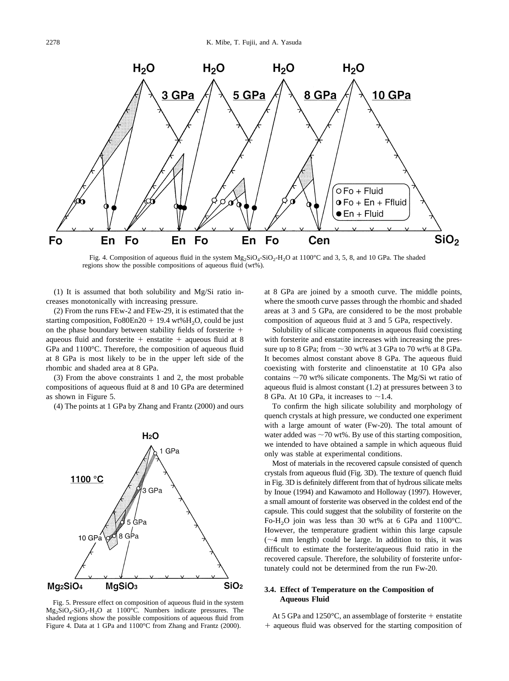<span id="page-5-0"></span>

Fig. 4. Composition of aqueous fluid in the system  $Mg_2SiO_4-SiO_2-H_2O$  at 1100°C and 3, 5, 8, and 10 GPa. The shaded regions show the possible compositions of aqueous fluid (wt%).

(1) It is assumed that both solubility and Mg/Si ratio increases monotonically with increasing pressure.

(2) From the runs FEw-2 and FEw-29, it is estimated that the starting composition, Fo80En20  $+$  19.4 wt%H<sub>2</sub>O, could be just on the phase boundary between stability fields of forsterite aqueous fluid and forsterite  $+$  enstatite  $+$  aqueous fluid at 8 GPa and 1100°C. Therefore, the composition of aqueous fluid at 8 GPa is most likely to be in the upper left side of the rhombic and shaded area at 8 GPa.

(3) From the above constraints 1 and 2, the most probable compositions of aqueous fluid at 8 and 10 GPa are determined as shown in Figure 5.

(4) The points at 1 GPa by [Zhang and Frantz \(2000\)](#page-12-0) and ours



Fig. 5. Pressure effect on composition of aqueous fluid in the system  $Mg_2SiO_4-SiO_2-H_2O$  at 1100°C. Numbers indicate pressures. The shaded regions show the possible compositions of aqueous fluid from Figure 4. Data at 1 GPa and 1100°C from [Zhang and Frantz \(2000\)](#page-12-0).

at 8 GPa are joined by a smooth curve. The middle points, where the smooth curve passes through the rhombic and shaded areas at 3 and 5 GPa, are considered to be the most probable composition of aqueous fluid at 3 and 5 GPa, respectively.

Solubility of silicate components in aqueous fluid coexisting with forsterite and enstatite increases with increasing the pressure up to 8 GPa; from  $\sim$ 30 wt% at 3 GPa to 70 wt% at 8 GPa. It becomes almost constant above 8 GPa. The aqueous fluid coexisting with forsterite and clinoenstatite at 10 GPa also contains  $\sim$  70 wt% silicate components. The Mg/Si wt ratio of aqueous fluid is almost constant (1.2) at pressures between 3 to 8 GPa. At 10 GPa, it increases to  $\sim$ 1.4.

To confirm the high silicate solubility and morphology of quench crystals at high pressure, we conducted one experiment with a large amount of water (Fw-20). The total amount of water added was  $\sim$  70 wt%. By use of this starting composition, we intended to have obtained a sample in which aqueous fluid only was stable at experimental conditions.

Most of materials in the recovered capsule consisted of quench crystals from aqueous fluid [\(Fig. 3D](#page-3-0)). The texture of quench fluid in [Fig. 3D](#page-3-0) is definitely different from that of hydrous silicate melts by [Inoue \(1994\)](#page-11-0) and [Kawamoto and Holloway \(1997\).](#page-11-0) However, a small amount of forsterite was observed in the coldest end of the capsule. This could suggest that the solubility of forsterite on the Fo-H<sub>2</sub>O join was less than 30 wt% at 6 GPa and 1100°C. However, the temperature gradient within this large capsule  $(\sim 4$  mm length) could be large. In addition to this, it was difficult to estimate the forsterite/aqueous fluid ratio in the recovered capsule. Therefore, the solubility of forsterite unfortunately could not be determined from the run Fw-20.

# **3.4. Effect of Temperature on the Composition of Aqueous Fluid**

At 5 GPa and 1250°C, an assemblage of forsterite  $+$  enstatite aqueous fluid was observed for the starting composition of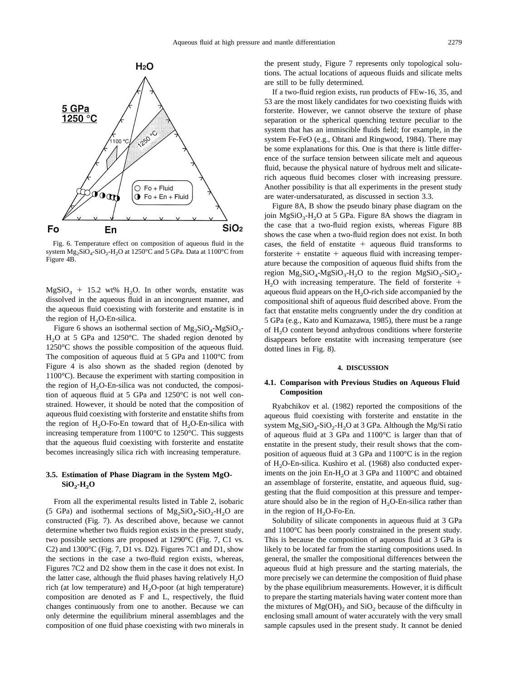<span id="page-6-0"></span>

Fig. 6. Temperature effect on composition of aqueous fluid in the system  $Mg_2SiO_4-SiO_2-H_2O$  at 1250°C and 5 GPa. Data at 1100°C from [Figure 4B](#page-5-0).

 $MgSiO<sub>3</sub> + 15.2 wt% H<sub>2</sub>O<sub>2</sub>$  In other words, enstatite was dissolved in the aqueous fluid in an incongruent manner, and the aqueous fluid coexisting with forsterite and enstatite is in the region of  $H_2O$ -En-silica.

Figure 6 shows an isothermal section of  $Mg_2SiO_4-MgSiO_3$ - $H<sub>2</sub>O$  at 5 GPa and 1250 $^{\circ}$ C. The shaded region denoted by 1250°C shows the possible composition of the aqueous fluid. The composition of aqueous fluid at 5 GPa and 1100°C from [Figure 4](#page-5-0) is also shown as the shaded region (denoted by 1100°C). Because the experiment with starting composition in the region of  $H<sub>2</sub>O$ -En-silica was not conducted, the composition of aqueous fluid at 5 GPa and 1250°C is not well constrained. However, it should be noted that the composition of aqueous fluid coexisting with forsterite and enstatite shifts from the region of  $H_2O$ -Fo-En toward that of  $H_2O$ -En-silica with increasing temperature from 1100°C to 1250°C. This suggests that the aqueous fluid coexisting with forsterite and enstatite becomes increasingly silica rich with increasing temperature.

# **3.5. Estimation of Phase Diagram in the System MgO-SiO<sub>2</sub>-H<sub>2</sub>O**

From all the experimental results listed in [Table 2](#page-4-0), isobaric (5 GPa) and isothermal sections of  $Mg_2SiO_4-SiO_2-H_2O$  are constructed [\(Fig. 7](#page-7-0)). As described above, because we cannot determine whether two fluids region exists in the present study, two possible sections are proposed at 1290°C [\(Fig. 7](#page-7-0), C1 vs. C2) and 1300°C ([Fig. 7](#page-7-0), D1 vs. D2). [Figures 7C1](#page-7-0) and D1, show the sections in the case a two-fluid region exists, whereas, [Figures 7C2](#page-7-0) and D2 show them in the case it does not exist. In the latter case, although the fluid phases having relatively  $H_2O$ rich (at low temperature) and  $H_2O$ -poor (at high temperature) composition are denoted as F and L, respectively, the fluid changes continuously from one to another. Because we can only determine the equilibrium mineral assemblages and the composition of one fluid phase coexisting with two minerals in the present study, [Figure 7](#page-7-0) represents only topological solutions. The actual locations of aqueous fluids and silicate melts are still to be fully determined.

If a two-fluid region exists, run products of FEw-16, 35, and 53 are the most likely candidates for two coexisting fluids with forsterite. However, we cannot observe the texture of phase separation or the spherical quenching texture peculiar to the system that has an immiscible fluids field; for example, in the system Fe-FeO (e.g., [Ohtani and Ringwood, 1984\)](#page-11-0). There may be some explanations for this. One is that there is little difference of the surface tension between silicate melt and aqueous fluid, because the physical nature of hydrous melt and silicaterich aqueous fluid becomes closer with increasing pressure. Another possibility is that all experiments in the present study are water-undersaturated, as discussed in section 3.3.

[Figure 8A, B](#page-8-0) show the pseudo binary phase diagram on the join  $MgSiO<sub>3</sub>-H<sub>2</sub>O$  at 5 GPa. [Figure 8A](#page-8-0) shows the diagram in the case that a two-fluid region exists, whereas [Figure 8B](#page-8-0) shows the case when a two-fluid region does not exist. In both cases, the field of enstatite  $+$  aqueous fluid transforms to forsterite  $+$  enstatite  $+$  aqueous fluid with increasing temperature because the composition of aqueous fluid shifts from the region  $Mg_2SiO_4-MgSiO_3-H_2O$  to the region  $MgSiO_3-SiO_2$ - $H<sub>2</sub>O$  with increasing temperature. The field of forsterite + aqueous fluid appears on the  $H<sub>2</sub>O$ -rich side accompanied by the compositional shift of aqueous fluid described above. From the fact that enstatite melts congruently under the dry condition at 5 GPa (e.g., [Kato and Kumazawa, 1985\)](#page-11-0), there must be a range of H2O content beyond anhydrous conditions where forsterite disappears before enstatite with increasing temperature (see dotted lines in [Fig. 8](#page-8-0)).

### **4. DISCUSSION**

## **4.1. Comparison with Previous Studies on Aqueous Fluid Composition**

[Ryabchikov et al. \(1982\)](#page-12-0) reported the compositions of the aqueous fluid coexisting with forsterite and enstatite in the system  $Mg_2SiO_4-SiO_2-H_2O$  at 3 GPa. Although the Mg/Si ratio of aqueous fluid at 3 GPa and 1100°C is larger than that of enstatite in the present study, their result shows that the composition of aqueous fluid at 3 GPa and 1100°C is in the region of H<sub>2</sub>O-En-silica. [Kushiro et al. \(1968\)](#page-11-0) also conducted experiments on the join  $En-H<sub>2</sub>O$  at 3 GPa and 1100°C and obtained an assemblage of forsterite, enstatite, and aqueous fluid, suggesting that the fluid composition at this pressure and temperature should also be in the region of  $H_2O$ -En-silica rather than in the region of  $H<sub>2</sub>O-Fo-En$ .

Solubility of silicate components in aqueous fluid at 3 GPa and 1100°C has been poorly constrained in the present study. This is because the composition of aqueous fluid at 3 GPa is likely to be located far from the starting compositions used. In general, the smaller the compositional differences between the aqueous fluid at high pressure and the starting materials, the more precisely we can determine the composition of fluid phase by the phase equilibrium measurements. However, it is difficult to prepare the starting materials having water content more than the mixtures of  $Mg(OH)_2$  and  $SiO_2$  because of the difficulty in enclosing small amount of water accurately with the very small sample capsules used in the present study. It cannot be denied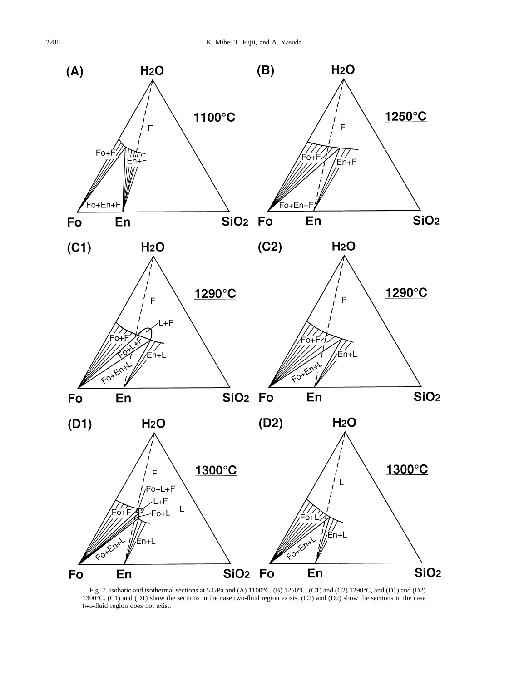<span id="page-7-0"></span>

Fig. 7. Isobaric and isothermal sections at 5 GPa and (A)  $1100^{\circ}$ C, (B) 1250 $^{\circ}$ C, (C1) and (C2) 1290 $^{\circ}$ C, and (D1) and (D2) 1300°C. (C1) and (D1) show the sections in the case two-fluid region exists. (C2) and (D2) show the sections in the case two-fluid region does not exist.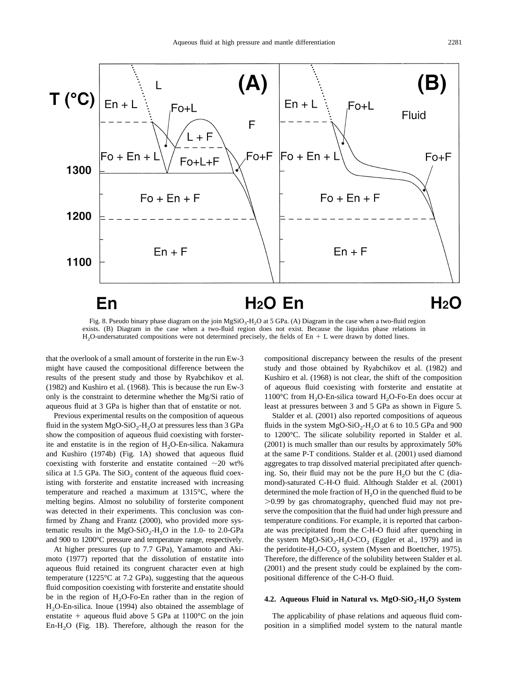<span id="page-8-0"></span>

Fig. 8. Pseudo binary phase diagram on the join MgSiO<sub>3</sub>-H<sub>2</sub>O at 5 GPa. (A) Diagram in the case when a two-fluid region exists. (B) Diagram in the case when a two-fluid region does not exist. Because the liquidus phase relations in  $H<sub>2</sub>O$ -undersaturated compositions were not determined precisely, the fields of En  $+$  L were drawn by dotted lines.

that the overlook of a small amount of forsterite in the run Ew-3 might have caused the compositional difference between the results of the present study and those by [Ryabchikov et al.](#page-12-0) [\(1982\)](#page-12-0) and [Kushiro et al. \(1968\).](#page-11-0) This is because the run Ew-3 only is the constraint to determine whether the Mg/Si ratio of aqueous fluid at 3 GPa is higher than that of enstatite or not.

Previous experimental results on the composition of aqueous fluid in the system  $MgO-SiO<sub>2</sub>-H<sub>2</sub>O$  at pressures less than 3 GPa show the composition of aqueous fluid coexisting with forsterite and enstatite is in the region of  $H_2O$ -En-silica. [Nakamura](#page-11-0) [and Kushiro \(1974b\)](#page-11-0) [\(Fig. 1A\)](#page-1-0) showed that aqueous fluid coexisting with forsterite and enstatite contained  $\sim$  20 wt% silica at 1.5 GPa. The  $SiO<sub>2</sub>$  content of the aqueous fluid coexisting with forsterite and enstatite increased with increasing temperature and reached a maximum at 1315°C, where the melting begins. Almost no solubility of forsterite component was detected in their experiments. This conclusion was confirmed by [Zhang and Frantz \(2000\),](#page-12-0) who provided more systematic results in the  $MgO-SiO<sub>2</sub>-H<sub>2</sub>O$  in the 1.0- to 2.0-GPa and 900 to 1200°C pressure and temperature range, respectively.

At higher pressures (up to 7.7 GPa), [Yamamoto and Aki](#page-12-0)[moto \(1977\)](#page-12-0) reported that the dissolution of enstatite into aqueous fluid retained its congruent character even at high temperature (1225°C at 7.2 GPa), suggesting that the aqueous fluid composition coexisting with forsterite and enstatite should be in the region of  $H<sub>2</sub>O-F<sub>O</sub>$ -En rather than in the region of H2O-En-silica. [Inoue \(1994\)](#page-11-0) also obtained the assemblage of enstatite  $+$  aqueous fluid above 5 GPa at 1100°C on the join En- $H<sub>2</sub>O$  ([Fig. 1B](#page-1-0)). Therefore, although the reason for the compositional discrepancy between the results of the present study and those obtained by [Ryabchikov et al. \(1982\)](#page-12-0) and [Kushiro et al. \(1968\)](#page-11-0) is not clear, the shift of the composition of aqueous fluid coexisting with forsterite and enstatite at  $1100^{\circ}$ C from H<sub>2</sub>O-En-silica toward H<sub>2</sub>O-Fo-En does occur at least at pressures between 3 and 5 GPa as shown in [Figure 5.](#page-5-0)

[Stalder et al. \(2001\)](#page-12-0) also reported compositions of aqueous fluids in the system  $MgO-SiO_2-H_2O$  at 6 to 10.5 GPa and 900 to 1200°C. The silicate solubility reported in [Stalder et al.](#page-12-0) [\(2001\)](#page-12-0) is much smaller than our results by approximately 50% at the same P-T conditions. [Stalder et al. \(2001\)](#page-12-0) used diamond aggregates to trap dissolved material precipitated after quenching. So, their fluid may not be the pure  $H_2O$  but the C (diamond)-saturated C-H-O fluid. Although [Stalder et al. \(2001\)](#page-12-0) determined the mole fraction of  $H<sub>2</sub>O$  in the quenched fluid to be 0.99 by gas chromatography, quenched fluid may not preserve the composition that the fluid had under high pressure and temperature conditions. For example, it is reported that carbonate was precipitated from the C-H-O fluid after quenching in the system  $MgO-SiO<sub>2</sub>-H<sub>2</sub>O-CO<sub>2</sub>$  [\(Eggler et al., 1979\)](#page-11-0) and in the peridotite-H<sub>2</sub>O-CO<sub>2</sub> system [\(Mysen and Boettcher, 1975\).](#page-11-0) Therefore, the difference of the solubility between [Stalder et al.](#page-12-0) [\(2001\)](#page-12-0) and the present study could be explained by the compositional difference of the C-H-O fluid.

# 4.2. Aqueous Fluid in Natural vs. MgO-SiO<sub>2</sub>-H<sub>2</sub>O System

The applicability of phase relations and aqueous fluid composition in a simplified model system to the natural mantle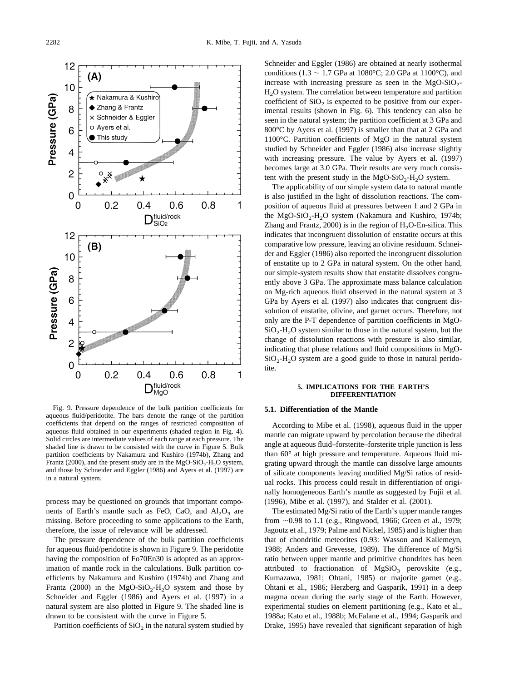

Fig. 9. Pressure dependence of the bulk partition coefficients for aqueous fluid/peridotite. The bars denote the range of the partition coefficients that depend on the ranges of restricted composition of aqueous fluid obtained in our experiments (shaded region in [Fig. 4](#page-5-0)). Solid circles are intermediate values of each range at each pressure. The shaded line is drawn to be consisted with the curve in [Figure 5.](#page-5-0) Bulk partition coefficients by [Nakamura and Kushiro \(1974b\), Zhang and](#page-11-0) [Frantz \(2000\),](#page-11-0) and the present study are in the  $MgO-SiO<sub>2</sub>-H<sub>2</sub>O$  system, and those by [Schneider and Eggler \(1986\)](#page-12-0) and [Ayers et al. \(1997\)](#page-11-0) are in a natural system.

process may be questioned on grounds that important components of Earth's mantle such as FeO, CaO, and  $Al_2O_3$  are missing. Before proceeding to some applications to the Earth, therefore, the issue of relevance will be addressed.

The pressure dependence of the bulk partition coefficients for aqueous fluid/peridotite is shown in Figure 9. The peridotite having the composition of Fo70En30 is adopted as an approximation of mantle rock in the calculations. Bulk partition coefficients by [Nakamura and Kushiro \(1974b\)](#page-11-0) and [Zhang and](#page-12-0) [Frantz \(2000\)](#page-12-0) in the MgO-SiO<sub>2</sub>-H<sub>2</sub>O system and those by [Schneider and Eggler \(1986\)](#page-12-0) and [Ayers et al. \(1997\)](#page-11-0) in a natural system are also plotted in Figure 9. The shaded line is drawn to be consistent with the curve in [Figure 5](#page-5-0).

Partition coefficients of  $SiO<sub>2</sub>$  in the natural system studied by

[Schneider and Eggler \(1986\)](#page-12-0) are obtained at nearly isothermal conditions (1.3  $\sim$  1.7 GPa at 1080°C; 2.0 GPa at 1100°C), and increase with increasing pressure as seen in the  $MgO-SiO<sub>2</sub>-$ H<sub>2</sub>O system. The correlation between temperature and partition coefficient of  $SiO<sub>2</sub>$  is expected to be positive from our experimental results (shown in [Fig. 6\)](#page-6-0). This tendency can also be seen in the natural system; the partition coefficient at 3 GPa and 800°C by [Ayers et al. \(1997\)](#page-11-0) is smaller than that at 2 GPa and 1100°C. Partition coefficients of MgO in the natural system studied by [Schneider and Eggler \(1986\)](#page-12-0) also increase slightly with increasing pressure. The value by [Ayers et al. \(1997\)](#page-11-0) becomes large at 3.0 GPa. Their results are very much consistent with the present study in the  $MgO-SiO<sub>2</sub>-H<sub>2</sub>O$  system.

The applicability of our simple system data to natural mantle is also justified in the light of dissolution reactions. The composition of aqueous fluid at pressures between 1 and 2 GPa in the MgO-SiO<sub>2</sub>-H<sub>2</sub>O system [\(Nakamura and Kushiro, 1974b;](#page-11-0) Zhang and Frantz,  $2000$ ) is in the region of  $H<sub>2</sub>O$ -En-silica. This indicates that incongruent dissolution of enstatite occurs at this comparative low pressure, leaving an olivine residuum. [Schnei](#page-12-0)[der and Eggler \(1986\)](#page-12-0) also reported the incongruent dissolution of enstatite up to 2 GPa in natural system. On the other hand, our simple-system results show that enstatite dissolves congruently above 3 GPa. The approximate mass balance calculation on Mg-rich aqueous fluid observed in the natural system at 3 GPa by [Ayers et al. \(1997\)](#page-11-0) also indicates that congruent dissolution of enstatite, olivine, and garnet occurs. Therefore, not only are the P-T dependence of partition coefficients in MgO- $SiO<sub>2</sub>-H<sub>2</sub>O$  system similar to those in the natural system, but the change of dissolution reactions with pressure is also similar, indicating that phase relations and fluid compositions in MgO- $SiO<sub>2</sub>-H<sub>2</sub>O$  system are a good guide to those in natural peridotite.

### **5. IMPLICATIONS FOR THE EARTH'S DIFFERENTIATION**

# **5.1. Differentiation of the Mantle**

According to [Mibe et al. \(1998\),](#page-11-0) aqueous fluid in the upper mantle can migrate upward by percolation because the dihedral angle at aqueous fluid–forsterite–forsterite triple junction is less than 60° at high pressure and temperature. Aqueous fluid migrating upward through the mantle can dissolve large amounts of silicate components leaving modified Mg/Si ratios of residual rocks. This process could result in differentiation of originally homogeneous Earth's mantle as suggested by [Fujii et al.](#page-11-0) [\(1996\), Mibe et al. \(1997\),](#page-11-0) and [Stalder et al. \(2001\).](#page-12-0)

The estimated Mg/Si ratio of the Earth's upper mantle ranges from ~0.98 to 1.1 (e.g., [Ringwood, 1966; Green et al., 1979;](#page-11-0) [Jagoutz et al., 1979; Palme and Nickel, 1985\)](#page-11-0) and is higher than that of chondritic meteorites (0.93: [Wasson and Kallemeyn,](#page-12-0) [1988; Anders and Grevesse, 1989\).](#page-12-0) The difference of Mg/Si ratio between upper mantle and primitive chondrites has been attributed to fractionation of  $MgSiO<sub>3</sub>$  perovskite (e.g., [Kumazawa, 1981; Ohtani, 1985\)](#page-11-0) or majorite garnet (e.g., [Ohtani et al., 1986; Herzberg and Gasparik, 1991\)](#page-11-0) in a deep magma ocean during the early stage of the Earth. However, experimental studies on element partitioning (e.g., [Kato et al.,](#page-11-0) [1988a; Kato et al., 1988b; McFalane et al., 1994; Gasparik and](#page-11-0) [Drake, 1995\)](#page-11-0) have revealed that significant separation of high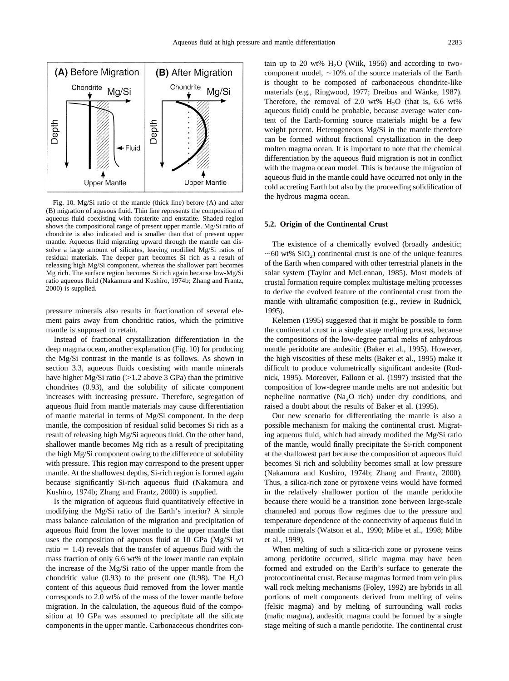

Fig. 10. Mg/Si ratio of the mantle (thick line) before (A) and after (B) migration of aqueous fluid. Thin line represents the composition of aqueous fluid coexisting with forsterite and enstatite. Shaded region shows the compositional range of present upper mantle. Mg/Si ratio of chondrite is also indicated and is smaller than that of present upper mantle. Aqueous fluid migrating upward through the mantle can dissolve a large amount of silicates, leaving modified Mg/Si ratios of residual materials. The deeper part becomes Si rich as a result of releasing high Mg/Si component, whereas the shallower part becomes Mg rich. The surface region becomes Si rich again because low-Mg/Si ratio aqueous fluid [\(Nakamura and Kushiro, 1974b; Zhang and Frantz,](#page-11-0) [2000\)](#page-11-0) is supplied.

pressure minerals also results in fractionation of several element pairs away from chondritic ratios, which the primitive mantle is supposed to retain.

Instead of fractional crystallization differentiation in the deep magma ocean, another explanation (Fig. 10) for producing the Mg/Si contrast in the mantle is as follows. As shown in section 3.3, aqueous fluids coexisting with mantle minerals have higher Mg/Si ratio ( $>1.2$  above 3 GPa) than the primitive chondrites (0.93), and the solubility of silicate component increases with increasing pressure. Therefore, segregation of aqueous fluid from mantle materials may cause differentiation of mantle material in terms of Mg/Si component. In the deep mantle, the composition of residual solid becomes Si rich as a result of releasing high Mg/Si aqueous fluid. On the other hand, shallower mantle becomes Mg rich as a result of precipitating the high Mg/Si component owing to the difference of solubility with pressure. This region may correspond to the present upper mantle. At the shallowest depths, Si-rich region is formed again because significantly Si-rich aqueous fluid [\(Nakamura and](#page-11-0) [Kushiro, 1974b; Zhang and Frantz, 2000\)](#page-11-0) is supplied.

Is the migration of aqueous fluid quantitatively effective in modifying the Mg/Si ratio of the Earth's interior? A simple mass balance calculation of the migration and precipitation of aqueous fluid from the lower mantle to the upper mantle that uses the composition of aqueous fluid at 10 GPa (Mg/Si wt ratio  $= 1.4$ ) reveals that the transfer of aqueous fluid with the mass fraction of only 6.6 wt% of the lower mantle can explain the increase of the Mg/Si ratio of the upper mantle from the chondritic value (0.93) to the present one (0.98). The  $H_2O$ content of this aqueous fluid removed from the lower mantle corresponds to 2.0 wt% of the mass of the lower mantle before migration. In the calculation, the aqueous fluid of the composition at 10 GPa was assumed to precipitate all the silicate components in the upper mantle. Carbonaceous chondrites contain up to 20 wt%  $H<sub>2</sub>O$  [\(Wiik, 1956\)](#page-12-0) and according to twocomponent model,  $\sim$ 10% of the source materials of the Earth is thought to be composed of carbonaceous chondrite-like materials (e.g., Ringwood, 1977; Dreibus and Wänke, 1987). Therefore, the removal of 2.0 wt%  $H_2O$  (that is, 6.6 wt% aqueous fluid) could be probable, because average water content of the Earth-forming source materials might be a few weight percent. Heterogeneous Mg/Si in the mantle therefore can be formed without fractional crystallization in the deep molten magma ocean. It is important to note that the chemical differentiation by the aqueous fluid migration is not in conflict with the magma ocean model. This is because the migration of aqueous fluid in the mantle could have occurred not only in the cold accreting Earth but also by the proceeding solidification of the hydrous magma ocean.

### **5.2. Origin of the Continental Crust**

The existence of a chemically evolved (broadly andesitic;  $\sim$  60 wt% SiO<sub>2</sub>) continental crust is one of the unique features of the Earth when compared with other terrestrial planets in the solar system [\(Taylor and McLennan, 1985\)](#page-12-0). Most models of crustal formation require complex multistage melting processes to derive the evolved feature of the continental crust from the mantle with ultramafic composition (e.g., review in [Rudnick,](#page-12-0) [1995\)](#page-12-0).

[Kelemen \(1995\)](#page-11-0) suggested that it might be possible to form the continental crust in a single stage melting process, because the compositions of the low-degree partial melts of anhydrous mantle peridotite are andesitic [\(Baker et al., 1995\)](#page-11-0). However, the high viscosities of these melts [\(Baker et al., 1995\)](#page-11-0) make it difficult to produce volumetrically significant andesite [\(Rud](#page-12-0)[nick, 1995\)](#page-12-0). Moreover, [Falloon et al. \(1997\)](#page-11-0) insisted that the composition of low-degree mantle melts are not andesitic but nepheline normative (Na<sub>2</sub>O rich) under dry conditions, and raised a doubt about the results of [Baker et al. \(1995\).](#page-11-0)

Our new scenario for differentiating the mantle is also a possible mechanism for making the continental crust. Migrating aqueous fluid, which had already modified the Mg/Si ratio of the mantle, would finally precipitate the Si-rich component at the shallowest part because the composition of aqueous fluid becomes Si rich and solubility becomes small at low pressure [\(Nakamura and Kushiro, 1974b; Zhang and Frantz, 2000\).](#page-11-0) Thus, a silica-rich zone or pyroxene veins would have formed in the relatively shallower portion of the mantle peridotite because there would be a transition zone between large-scale channeled and porous flow regimes due to the pressure and temperature dependence of the connectivity of aqueous fluid in mantle minerals [\(Watson et al., 1990; Mibe et al., 1998; Mibe](#page-12-0) [et al., 1999\).](#page-12-0)

When melting of such a silica-rich zone or pyroxene veins among peridotite occurred, silicic magma may have been formed and extruded on the Earth's surface to generate the protocontinental crust. Because magmas formed from vein plus wall rock melting mechanisms [\(Foley, 1992\)](#page-11-0) are hybrids in all portions of melt components derived from melting of veins (felsic magma) and by melting of surrounding wall rocks (mafic magma), andesitic magma could be formed by a single stage melting of such a mantle peridotite. The continental crust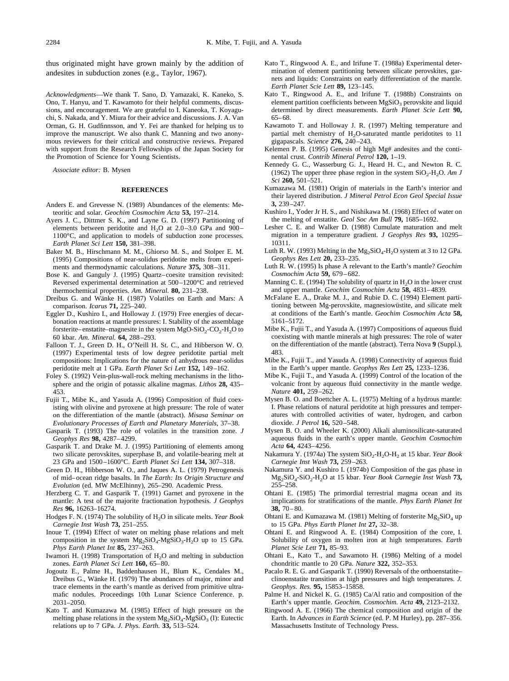<span id="page-11-0"></span>thus originated might have grown mainly by the addition of andesites in subduction zones (e.g., [Taylor, 1967\).](#page-12-0)

*Acknowledgments*—We thank T. Sano, D. Yamazaki, K. Kaneko, S. Ono, T. Hanyu, and T. Kawamoto for their helpful comments, discussions, and encouragement. We are grateful to I. Kaneoka, T. Koyaguchi, S. Nakada, and Y. Miura for their advice and discussions. J. A. Van Orman, G. H. Gudfinnsson, and Y. Fei are thanked for helping us to improve the manuscript. We also thank C. Manning and two anonymous reviewers for their critical and constructive reviews. Prepared with support from the Research Fellowships of the Japan Society for the Promotion of Science for Young Scientists.

*Associate editor:* B. Mysen

#### **REFERENCES**

- Anders E. and Grevesse N. (1989) Abundances of the elements: Meteoritic and solar. *Geochim Cosmochim Acta* **53,** 197–214.
- Ayers J. C., Dittmer S. K., and Layne G. D. (1997) Partitioning of elements between peridotite and  $H_2O$  at 2.0–3.0 GPa and 900– 1100°C, and application to models of subduction zone processes. *Earth Planet Sci Lett* **150,** 381–398.
- Baker M. B., Hirschmann M. M., Ghiorso M. S., and Stolper E. M. (1995) Compositions of near-solidus peridotite melts from experiments and thermodynamic calculations. *Nature* **375,** 308–311.
- Bose K. and Ganguly J. (1995) Quartz–coesite transition revisited: Reversed experimental determination at 500–1200°C and retrieved thermochemical properties. *Am. Mineral.* **80,** 231–238.
- Dreibus G. and Wänke H. (1987) Volatiles on Earth and Mars: A comparison. *Icarus* **71,** 225–240.
- Eggler D., Kushiro I., and Holloway J. (1979) Free energies of decarbonation reactions at mantle pressures: I. Stability of the assemblage forsterite–enstatite–magnesite in the system  $MgO-SiO_2-CO_2-H_2O$  to 60 kbar. *Am. Mineral.* **64,** 288–293.
- Falloon T. J., Green D. H., O'Neill H. St. C., and Hibberson W. O. (1997) Experimental tests of low degree peridotite partial melt compositions: Implications for the nature of anhydrous near-solidus peridotite melt at 1 GPa. *Earth Planet Sci Lett* **152,** 149–162.
- Foley S. (1992) Vein-plus-wall-rock melting mechanisms in the lithosphere and the origin of potassic alkaline magmas. *Lithos* **28,** 435– 453.
- Fujii T., Mibe K., and Yasuda A. (1996) Composition of fluid coexisting with olivine and pyroxene at high pressure: The role of water on the differentiation of the mantle (abstract). *Misasa Seminar on Evolutionary Processes of Earth and Planetary Materials*, 37–38.
- Gasparik T. (1993) The role of volatiles in the transition zone. *J Geophys Res* **98,** 4287–4299.
- Gasparik T. and Drake M. J. (1995) Partitioning of elements among two silicate perovskites, superphase B, and volatile-bearing melt at 23 GPa and 1500–1600°C. *Earth Planet Sci Lett* **134,** 307–318.
- Green D. H., Hibberson W. O., and Jaques A. L. (1979) Petrogenesis of mid–ocean ridge basalts. In *The Earth: Its Origin Structure and Evolution* (ed. MW McElhinny), 265–290. Academic Press.
- Herzberg C. T. and Gasparik T. (1991) Garnet and pyroxene in the mantle: A test of the majorite fractionation hypothesis. *J Geophys Res* **96,** 16263–16274.
- Hodges F. N. (1974) The solubility of H2O in silicate melts. *Year Book Carnegie Inst Wash* **73,** 251–255.
- Inoue T. (1994) Effect of water on melting phase relations and melt composition in the system  $Mg_2SiO_4-MgSiO_3-H_2O$  up to 15 GPa. *Phys Earth Planet Int* **85,** 237–263.
- Iwamori H. (1998) Transportation of  $H_2O$  and melting in subduction zones. *Earth Planet Sci Lett* **160,** 65–80.
- Jogoutz E., Palme H., Baddenhausen H., Blum K., Cendales M., Dreibus G., Wänke H. (1979) The abundances of major, minor and trace elements in the earth's mantle as derived from primitive ultramafic nodules. Proceedings 10th Lunar Science Conference. p. 2031–2050.
- Kato T. and Kumazawa M. (1985) Effect of high pressure on the melting phase relations in the system  $Mg_2SiO_4-MgSiO_3$  (I): Eutectic relations up to 7 GPa. *J. Phys. Earth.* **33,** 513–524.
- Kato T., Ringwood A. E., and Irifune T. (1988a) Experimental determination of element partitioning between silicate perovskites, garnets and liquids: Constraints on early differentiation of the mantle. *Earth Planet Scie Lett* **89,** 123–145.
- Kato T., Ringwood A. E., and Irifune T. (1988b) Constraints on element partition coefficients between  $MgSiO<sub>3</sub>$  perovskite and liquid determined by direct measurements. *Earth Planet Scie Lett* **90,** 65–68.
- Kawamoto T. and Holloway J. R. (1997) Melting temperature and partial melt chemistry of H<sub>2</sub>O-saturated mantle peridotites to 11 gigapascals. *Science* **276,** 240–243.
- Kelemen P. B. (1995) Genesis of high Mg# andesites and the continental crust. *Contrib Mineral Petrol* **120,** 1–19.
- Kennedy G. C., Wasserburg G. J., Heard H. C., and Newton R. C. (1962) The upper three phase region in the system  $SiO<sub>2</sub>-H<sub>2</sub>O$ . *Am J Sci* **260,** 501–521.
- Kumazawa M. (1981) Origin of materials in the Earth's interior and their layered distribution. *J Mineral Petrol Econ Geol Special Issue* **3,** 239–247.
- Kushiro I., Yoder Jr H. S., and Nishikawa M. (1968) Effect of water on the melting of enstatite. *Geol Soc Am Bull* **79,** 1685–1692.
- Lesher C. E. and Walker D. (1988) Cumulate maturation and melt migration in a temperature gradient. *J Geophys Res* **93,** 10295– 10311.
- Luth R. W. (1993) Melting in the  $Mg_2SiO_4-H_2O$  system at 3 to 12 GPa. *Geophys Res Lett* **20,** 233–235.
- Luth R. W. (1995) Is phase A relevant to the Earth's mantle? *Geochim Cosmochim Acta* **59,** 679–682.
- Manning C. E. (1994) The solubility of quartz in  $H_2O$  in the lower crust and upper mantle. *Geochim Cosmochim Acta* **58,** 4831–4839.
- McFalane E. A., Drake M. J., and Rubie D. C. (1994) Element partitioning between Mg-perovskite, magnesiowüstite, and silicate melt at conditions of the Earth's mantle. *Geochim Cosmochim Acta* **58,** 5161–5172.
- Mibe K., Fujii T., and Yasuda A. (1997) Compositions of aqueous fluid coexisting with mantle minerals at high pressures: The role of water on the differentiation of the mantle (abstract). Terra Nova **9** (Suppl.), 483.
- Mibe K., Fujii T., and Yasuda A. (1998) Connectivity of aqueous fluid in the Earth's upper mantle. *Geophys Res Lett* **25,** 1233–1236.
- Mibe K., Fujii T., and Yasuda A. (1999) Control of the location of the volcanic front by aqueous fluid connectivity in the mantle wedge. *Nature* **401,** 259–262.
- Mysen B. O. and Boettcher A. L. (1975) Melting of a hydrous mantle: I. Phase relations of natural peridotite at high pressures and temperatures with controlled activities of water, hydrogen, and carbon dioxide. *J Petrol* **16,** 520–548.
- Mysen B. O. and Wheeler K. (2000) Alkali aluminosilicate-saturated aqueous fluids in the earth's upper mantle. *Geochim Cosmochim Acta* **64,** 4243–4256.
- Nakamura Y. (1974a) The system SiO<sub>2</sub>-H<sub>2</sub>O-H<sub>2</sub> at 15 kbar. *Year Book Carnegie Inst Wash* **73,** 259–263.
- Nakamura Y. and Kushiro I. (1974b) Composition of the gas phase in Mg2SiO4-SiO2-H2O at 15 kbar. *Year Book Carnegie Inst Wash* **73,** 255–258.
- Ohtani E. (1985) The primordial terrestrial magma ocean and its implications for stratifications of the mantle. *Phys Earth Planet Int* **38,** 70–80.
- Ohtani E. and Kumazawa M. (1981) Melting of forsterite  $Mg_2SiO_4$  up to 15 GPa. *Phys Earth Planet Int* **27,** 32–38.
- Ohtani E. and Ringwood A. E. (1984) Composition of the core, I. Solubility of oxygen in molten iron at high temperatures. *Earth Planet Scie Lett* **71,** 85–93.
- Ohtani E., Kato T., and Sawamoto H. (1986) Melting of a model chondritic mantle to 20 GPa. *Nature* **322,** 352–353.
- Pacalo R. E. G. and Gasparik T. (1990) Reversals of the orthoenstatite– clinoenstatite transition at high pressures and high temperatures. *J. Geophys. Res.* **95,** 15853–15858.
- Palme H. and Nickel K. G. (1985) Ca/Al ratio and composition of the Earth's upper mantle. *Geochim. Cosmochim. Acta* **49,** 2123–2132.
- Ringwood A. E. (1966) The chemical composition and origin of the Earth. In *Advances in Earth Science* (ed. P. M Hurley), pp. 287–356. Massachusetts Institute of Technology Press.